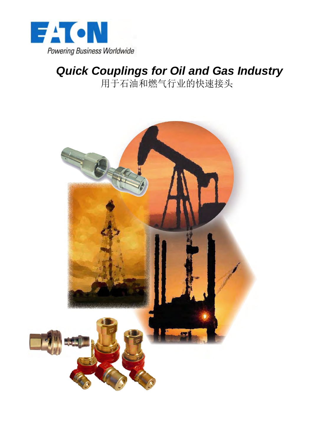

# *Quick Couplings for Oil and Gas Industry*  用于石油和燃气行业的快速接头

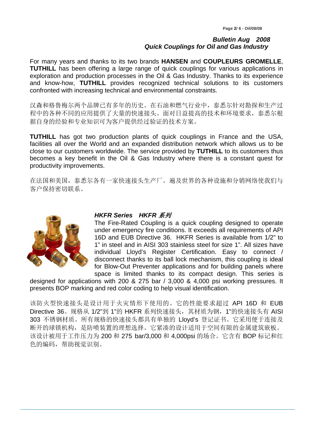For many years and thanks to its two brands **HANSEN** and **COUPLEURS GROMELLE**, **TUTHILL** has been offering a large range of quick couplings for various applications in exploration and production processes in the Oil & Gas Industry. Thanks to its experience and know-how, **TUTHILL** provides recognized technical solutions to its customers confronted with increasing technical and environmental constraints.

汉森和格鲁梅尔两个品牌已有多年的历史。在石油和燃气行业中,泰悉尔针对勘探和生产过 程中的各种不同的应用提供了大量的快速接头。面对日益提高的技术和环境要求,泰悉尔根 据自身的经验和专业知识可为客户提供经过验证的技术方案。

**TUTHILL** has got two production plants of quick couplings in France and the USA, facilities all over the World and an expanded distribution network which allows us to be close to our customers worldwide. The service provided by **TUTHILL** to its customers thus becomes a key benefit in the Oil & Gas Industry where there is a constant quest for productivity improvements.

在法国和美国,泰悉尔各有一家快速接头生产厂。遍及世界的各种设施和分销网络使我们与 客户保持密切联系。



### *HKFR Series HKFR* 系列

The Fire-Rated Coupling is a quick coupling designed to operate under emergency fire conditions. It exceeds all requirements of API 16D and EUB Directive 36. HKFR Series is available from 1/2" to 1" in steel and in AISI 303 stainless steel for size 1". All sizes have individual Lloyd's Register Certification. Easy to connect / disconnect thanks to its ball lock mechanism, this coupling is ideal for Blow-Out Preventer applications and for building panels where space is limited thanks to its compact design. This series is

designed for applications with 200 & 275 bar / 3,000 & 4,000 psi working pressures. It presents BOP marking and red color coding to help visual identification.

该防火型快速接头是设计用于火灾情形下使用的。它的性能要求超过 API 16D 和 EUB Directive 36。规格从 1/2"到 1"的 HKFR 系列快速接头,其材质为钢,1"的快速接头有 AISI 303 不锈钢材质。所有规格的快速接头都具有单独的 Lloyd's 登记证书。它采用便于连接及 断开的球锁机构,是防喷装置的理想选择。它紧凑的设计适用于空间有限的金属建筑嵌板。 该设计被用于工作压力为 200 和 275 bar/3,000 和 4,000psi 的场合。它含有 BOP 标记和红 色的编码,帮助视觉识别。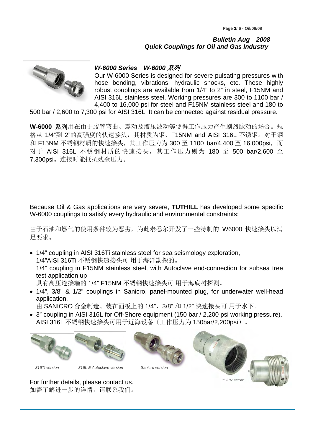

## *W-6000 Series W-6000* 系列

Our W-6000 Series is designed for severe pulsating pressures with hose bending, vibrations, hydraulic shocks, etc. These highly robust couplings are available from 1/4" to 2" in steel, F15NM and AISI 316L stainless steel. Working pressures are 300 to 1100 bar / 4,400 to 16,000 psi for steel and F15NM stainless steel and 180 to

500 bar / 2,600 to 7,300 psi for AISI 316L. It can be connected against residual pressure.

**W-6000** 系列用在由于胶管弯曲、震动及液压波动等使得工作压力产生剧烈脉动的场合。规 格从 1/4"到 2"的高强度的快速接头,其材质为钢、F15NM and AISI 316L 不锈钢。对于钢 和 F15NM 不锈钢材质的快速接头, 其工作压力为 300 至 1100 bar/4,400 至 16,000psi, 而 对于 AISI 316L 不锈钢材质的快速接头, 其工作压力则为 180 至 500 bar/2,600 至 7,300psi。连接时能抵抗残余压力。

Because Oil & Gas applications are very severe, **TUTHILL** has developed some specific W-6000 couplings to satisfy every hydraulic and environmental constraints:

由于石油和燃气的使用条件较为恶劣,为此泰悉尔开发了一些特制的 W6000 快速接头以满 足要求。

- 1/4" coupling in AISI 316Ti stainless steel for sea seismology exploration, 1/4"AISI 316Ti 不锈钢快速接头可 用于海洋勘探的。 1/4" coupling in F15NM stainless steel, with Autoclave end-connection for subsea tree test application up 具有高压连接端的 1/4" F15NM 不锈钢快速接头可 用于海底树探测。
- 1/4", 3/8" & 1/2" couplings in Sanicro, panel-mounted plug, for underwater well-head application,

由 SANICRO 合金制造、装在面板上的 1/4"、3/8" 和 1/2" 快速接头可 用于水下。

• 3" coupling in AISI 316L for Off-Shore equipment (150 bar / 2,200 psi working pressure). AISI 316L 不锈钢快速接头可用于近海设备(工作压力为 150bar/2,200psi)。



For further details, please contact us. 如需了解进一步的详情,请联系我们。





*316Ti version 316L & Autoclave version Sanicro version*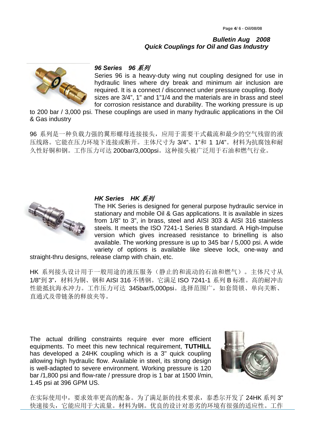

#### *96 Series 96* 系列

Series 96 is a heavy-duty wing nut coupling designed for use in hydraulic lines where dry break and minimum air inclusion are required. It is a connect / disconnect under pressure coupling. Body sizes are 3/4", 1" and 1"1/4 and the materials are in brass and steel for corrosion resistance and durability. The working pressure is up

to 200 bar / 3,000 psi. These couplings are used in many hydraulic applications in the Oil & Gas industry

96 系列是一种负载力强的翼形螺母连接接头,应用于需要干式截流和最少的空气残留的液 压线路。它能在压力环境下连接或断开。主体尺寸为 3/4"、1"和 1 1/4"。材料为抗腐蚀和耐 久性好铜和钢。工作压力可达 200bar/3,000psi。这种接头被广泛用于石油和燃气行业。



#### *HK Series HK* 系列

The HK Series is designed for general purpose hydraulic service in stationary and mobile Oil & Gas applications. It is available in sizes from 1/8" to 3", in brass, steel and AISI 303 & AISI 316 stainless steels. It meets the ISO 7241-1 Series B standard. A High-Impulse version which gives increased resistance to brinelling is also available. The working pressure is up to 345 bar / 5,000 psi. A wide variety of options is available like sleeve lock, one-way and

straight-thru designs, release clamp with chain, etc.

HK 系列接头设计用于一般用途的液压服务(静止的和流动的石油和燃气)。主体尺寸从 1/8"到 3", 材料为铜、钢和 AISI 316 不锈钢。它满足 ISO 7241-1 系列 B 标准。高的耐冲击 性能抵抗海水冲力。工作压力可达 345bar/5,000psi。选择范围广, 如套筒锁、单向关断、 直通式及带链条的释放夹等。

The actual drilling constraints require ever more efficient equipments. To meet this new technical requirement, **TUTHILL** has developed a 24HK coupling which is a 3" quick coupling allowing high hydraulic flow. Available in steel, its strong design is well-adapted to severe environment. Working pressure is 120 bar /1,800 psi and flow-rate / pressure drop is 1 bar at 1500 l/min, 1.45 psi at 396 GPM US.



在实际使用中,要求效率更高的配备。为了满足新的技术要求,泰悉尔开发了 24HK 系列 3" 快速接头,它能应用于大流量。材料为钢。优良的设计对恶劣的环境有很强的适应性。工作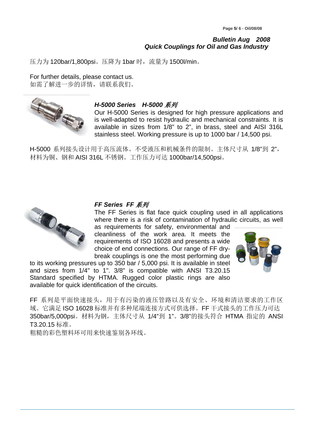压力为 120bar/1,800psi。压降为 1bar 时,流量为 1500l/min。

For further details, please contact us. 如需了解进一步的详情,请联系我们。



### *H-5000 Series H-5000* 系列

Our H-5000 Series is designed for high pressure applications and is well-adapted to resist hydraulic and mechanical constraints. It is available in sizes from 1/8" to 2", in brass, steel and AISI 316L stainless steel. Working pressure is up to 1000 bar / 14,500 psi.

H-5000 系列接头设计用于高压流体。不受液压和机械条件的限制。主体尺寸从 1/8"到 2", 材料为铜、钢和 AISI 316L 不锈钢。工作压力可达 1000bar/14,500psi。



#### *FF Series FF* 系列

The FF Series is flat face quick coupling used in all applications where there is a risk of contamination of hydraulic circuits, as well as requirements for safety, environmental and

cleanliness of the work area. It meets the requirements of ISO 16028 and presents a wide choice of end connections. Our range of FF drybreak couplings is one the most performing due



to its working pressures up to 350 bar / 5,000 psi. It is available in steel and sizes from 1/4" to 1". 3/8" is compatible with ANSI T3.20.15 Standard specified by HTMA. Rugged color plastic rings are also available for quick identification of the circuits.

FF 系列是平面快速接头,用于有污染的液压管路以及有安全、环境和清洁要求的工作区 域。它满足 ISO 16028 标准并有多种尾端连接方式可供选择。FF 干式接头的工作压力可达 350bar/5,000psi。材料为钢,主体尺寸从 1/4"到 1"。3/8"的接头符合 HTMA 指定的 ANSI T3.20.15 标准。

粗糙的彩色塑料环可用来快速鉴别各环线。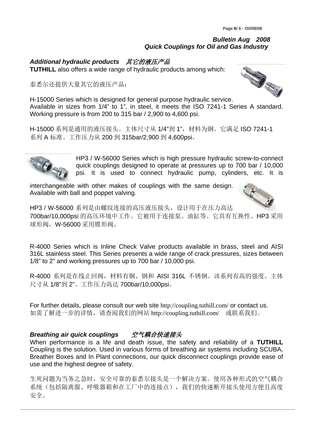*Additional hydraulic products* 其它的液压产品 **TUTHILL** also offers a wide range of hydraulic products among which:

泰悉尔还提供大量其它的液压产品:

H-15000 Series which is designed for general purpose hydraulic service. Available in sizes from 1/4" to 1", in steel, it meets the ISO 7241-1 Series A standard. Working pressure is from 200 to 315 bar / 2,900 to 4,600 psi.

H-15000 系列是通用的液压接头。主体尺寸从 1/4"到 1", 材料为钢。它满足 ISO 7241-1 系列 A 标准。工作压力从 200 到 315bar/2,900 到 4,600psi。

> HP3 / W-56000 Series which is high pressure hydraulic screw-to-connect quick couplings designed to operate at pressures up to 700 bar / 10,000 psi. It is used to connect hydraulic pump, cylinders, etc. It is

interchangeable with other makes of couplings with the same design. Available with ball and poppet valving.

HP3 / W-56000 系列是由螺纹连接的高压液压接头, 设计用于在压力高达 700bar/10,000psi 的高压环境中工作。它被用于连接泵、油缸等。它具有互换性。HP3 采用 球形阀, W-56000 采用锥形阀。

R-4000 Series which is Inline Check Valve products available in brass, steel and AISI 316L stainless steel. This Series presents a wide range of crack pressures, sizes between 1/8" to 2" and working pressures up to 700 bar / 10,000 psi.

R-4000 系列是在线止回阀,材料有铜、钢和 AISI 316L 不锈钢。该系列有高的强度。主体 尺寸从 1/8"到 2"。工作压力高达 700bar/10,000psi。

For further details, please consult our web site http://coupling.tuthill.com/ or contact us. 如需了解进一步的详情,请查阅我们的网站 http://coupling.tuthill.com/ 或联系我们。

# *Breathing air quick couplings* 空气耦合快速接头

When performance is a life and death issue, the safety and reliability of a **TUTHILL** Coupling is the solution. Used in various forms of breathing air systems including SCUBA, Breather Boxes and In Plant connections, our quick disconnect couplings provide ease of use and the highest degree of safety.

生死问题为当务之急时,安全可靠的泰悉尔接头是一个解决方案。使用各种形式的空气耦合 系统(包括隔离服、呼吸器箱和在工厂中的连接点),我们的快速断开接头使用方便且高度 安全。

j





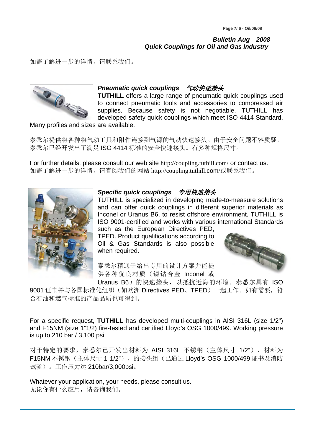如需了解进一步的详情,请联系我们。



## *Pneumatic quick couplings* 气动快速接头

**TUTHILL** offers a large range of pneumatic quick couplings used to connect pneumatic tools and accessories to compressed air supplies. Because safety is not negotiable, TUTHILL has developed safety quick couplings which meet ISO 4414 Standard.

Many profiles and sizes are available.

泰悉尔提供将各种将气动工具和附件连接到气源的气动快速接头。由于安全问题不容质疑, 泰悉尔已经开发出了满足 ISO 4414 标准的安全快速接头。有多种规格尺寸。

For further details, please consult our web site http://coupling.tuthill.com/ or contact us. 如需了解进一步的详情,请查阅我们的网站 http://coupling.tuthill.com/或联系我们。



## *Specific quick couplings* 专用快速接头

TUTHILL is specialized in developing made-to-measure solutions and can offer quick couplings in different superior materials as Inconel or Uranus B6, to resist offshore environment. TUTHILL is ISO 9001-certified and works with various international Standards such as the European Directives PED,

TPED. Product qualifications according to Oil & Gas Standards is also possible when required.



泰悉尔精通于给出专用的设计方案并能提 供各种优良材质(镍钴合金 Inconel 或

Uranus B6)的快速接头, 以抵抗近海的环境。泰悉尔具有 ISO 9001 证书并与各国标准化组织(如欧洲 Directives PED、TPED) 一起工作。如有需要, 符 合石油和燃气标准的产品品质也可得到。

For a specific request, **TUTHILL** has developed multi-couplings in AISI 316L (size 1/2") and F15NM (size 1"1/2) fire-tested and certified Lloyd's OSG 1000/499. Working pressure is up to 210 bar / 3,100 psi.

对于特定的要求,泰悉尔已开发出材料为 AISI 316L 不锈钢(主体尺寸 1/2")、材料为 F15NM 不锈钢(主体尺寸 1 1/2")、的接头组(已通过 Lloyd's OSG 1000/499 证书及消防 试验)。工作压力达 210bar/3,000psi。

Whatever your application, your needs, please consult us. 无论你有什么应用,请咨询我们。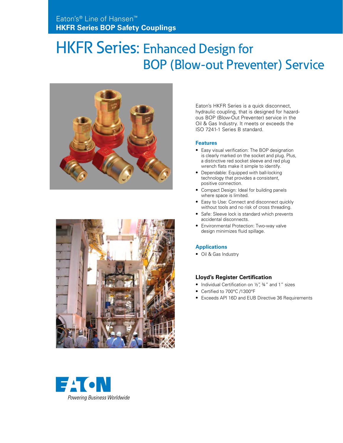# HKFR Series: Enhanced Design for BOP (Blow-out Preventer) Service





Eaton's HKFR Series is a quick disconnect, hydraulic coupling, that is designed for hazardous BOP (Blow-Out Preventer) service in the Oil & Gas Industry. It meets or exceeds the ISO 7241-1 Series B standard.

#### **Features**

- Easy visual verification: The BOP designation is clearly marked on the socket and plug. Plus, a distinctive red socket sleeve and red plug wrench flats make it simple to identify.
- Dependable: Equipped with ball-locking technology that provides a consistent, positive connection.
- Compact Design: Ideal for building panels where space is limited.
- Easy to Use: Connect and disconnect quickly without tools and no risk of cross threading.
- Safe: Sleeve lock is standard which prevents accidental disconnects.
- Environmental Protection: Two-way valve design minimizes fluid spillage.

#### **Applications**

• Oil & Gas Industry

#### **Lloyd's Register Certification**

- Individual Certification on 1/2", 34" and 1" sizes
- Certified to 700°C /1300°F
- Exceeds API 16D and EUB Directive 36 Requirements